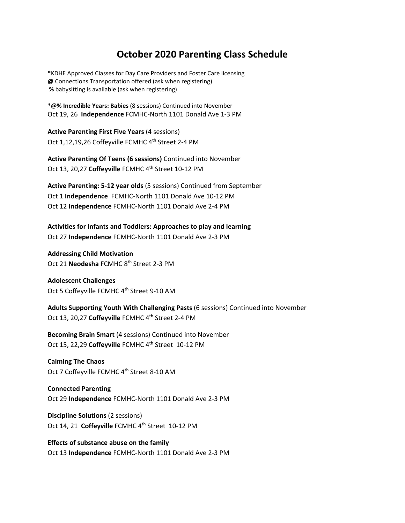## **October 2020 Parenting Class Schedule**

**\***KDHE Approved Classes for Day Care Providers and Foster Care licensing **@** Connections Transportation offered (ask when registering)  **%** babysitting is available (ask when registering)

**\*@% Incredible Years: Babies** (8 sessions) Continued into November Oct 19, 26 **Independence** FCMHC-North 1101 Donald Ave 1-3 PM

**Active Parenting First Five Years** (4 sessions) Oct 1,12,19,26 Coffeyville FCMHC 4<sup>th</sup> Street 2-4 PM

**Active Parenting Of Teens (6 sessions)** Continued into November Oct 13, 20,27 **Coffeyville** FCMHC 4th Street 10-12 PM

**Active Parenting: 5-12 year olds** (5 sessions) Continued from September Oct 1 **Independence** FCMHC-North 1101 Donald Ave 10-12 PM Oct 12 **Independence** FCMHC-North 1101 Donald Ave 2-4 PM

**Activities for Infants and Toddlers: Approaches to play and learning** Oct 27 **Independence** FCMHC-North 1101 Donald Ave 2-3 PM

**Addressing Child Motivation** Oct 21 **Neodesha** FCMHC 8th Street 2-3 PM

**Adolescent Challenges** Oct 5 Coffeyville FCMHC 4<sup>th</sup> Street 9-10 AM

**Adults Supporting Youth With Challenging Pasts** (6 sessions) Continued into November Oct 13, 20,27 Coffeyville FCMHC 4<sup>th</sup> Street 2-4 PM

**Becoming Brain Smart** (4 sessions) Continued into November Oct 15, 22,29 **Coffeyville** FCMHC 4th Street 10-12 PM

**Calming The Chaos** Oct 7 Coffeyville FCMHC 4<sup>th</sup> Street 8-10 AM

**Connected Parenting** Oct 29 **Independence** FCMHC-North 1101 Donald Ave 2-3 PM

**Discipline Solutions** (2 sessions) Oct 14, 21 **Coffeyville** FCMHC 4<sup>th</sup> Street 10-12 PM

**Effects of substance abuse on the family**  Oct 13 **Independence** FCMHC-North 1101 Donald Ave 2-3 PM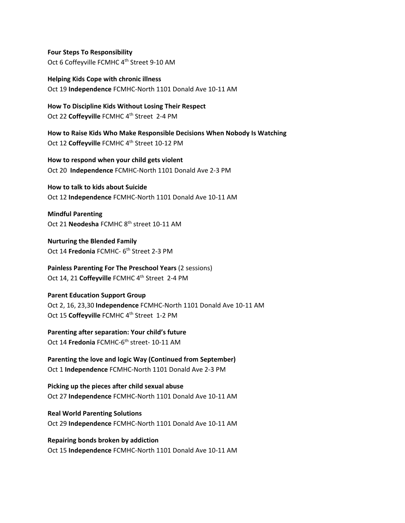**Four Steps To Responsibility** Oct 6 Coffeyville FCMHC 4<sup>th</sup> Street 9-10 AM

**Helping Kids Cope with chronic illness**  Oct 19 **Independence** FCMHC-North 1101 Donald Ave 10-11 AM

**How To Discipline Kids Without Losing Their Respect** Oct 22 Coffeyville FCMHC 4<sup>th</sup> Street 2-4 PM

**How to Raise Kids Who Make Responsible Decisions When Nobody Is Watching** Oct 12 Coffeyville FCMHC 4<sup>th</sup> Street 10-12 PM

**How to respond when your child gets violent** Oct 20 **Independence** FCMHC-North 1101 Donald Ave 2-3 PM

**How to talk to kids about Suicide** Oct 12 **Independence** FCMHC-North 1101 Donald Ave 10-11 AM

**Mindful Parenting**  Oct 21 **Neodesha** FCMHC 8th street 10-11 AM

**Nurturing the Blended Family** Oct 14 **Fredonia** FCMHC- 6<sup>th</sup> Street 2-3 PM

**Painless Parenting For The Preschool Years** (2 sessions) Oct 14, 21 **Coffeyville** FCMHC 4th Street 2-4 PM

## **Parent Education Support Group**

Oct 2, 16, 23,30 **Independence** FCMHC-North 1101 Donald Ave 10-11 AM Oct 15 **Coffeyville** FCMHC 4th Street 1-2 PM

**Parenting after separation: Your child's future**  Oct 14 **Fredonia** FCMHC-6th street- 10-11 AM

**Parenting the love and logic Way (Continued from September)**  Oct 1 **Independence** FCMHC-North 1101 Donald Ave 2-3 PM

**Picking up the pieces after child sexual abuse** Oct 27 **Independence** FCMHC-North 1101 Donald Ave 10-11 AM

**Real World Parenting Solutions** Oct 29 **Independence** FCMHC-North 1101 Donald Ave 10-11 AM

**Repairing bonds broken by addiction**  Oct 15 **Independence** FCMHC-North 1101 Donald Ave 10-11 AM